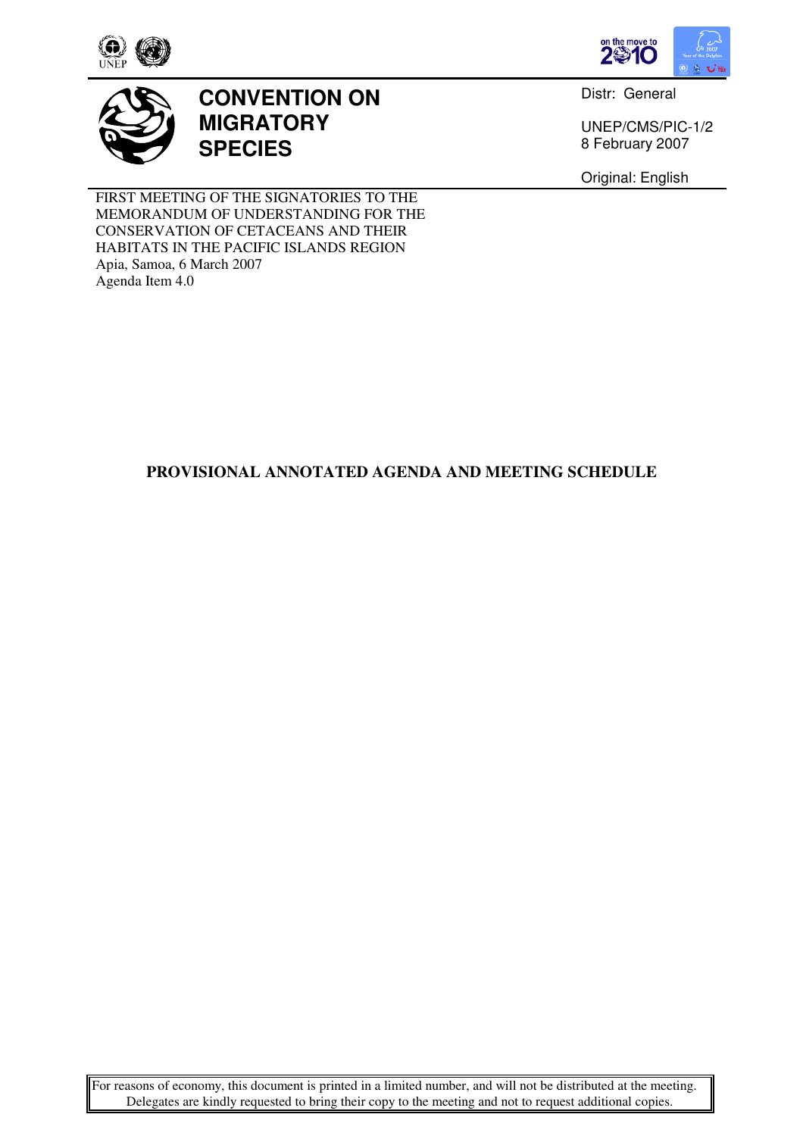



# **CONVENTION ON MIGRATORY SPECIES**

Distr: General

UNEP/CMS/PIC-1/2 8 February 2007

Original: English

FIRST MEETING OF THE SIGNATORIES TO THE MEMORANDUM OF UNDERSTANDING FOR THE CONSERVATION OF CETACEANS AND THEIR HABITATS IN THE PACIFIC ISLANDS REGION Apia, Samoa, 6 March 2007 Agenda Item 4.0

## **PROVISIONAL ANNOTATED AGENDA AND MEETING SCHEDULE**

For reasons of economy, this document is printed in a limited number, and will not be distributed at the meeting. Delegates are kindly requested to bring their copy to the meeting and not to request additional copies.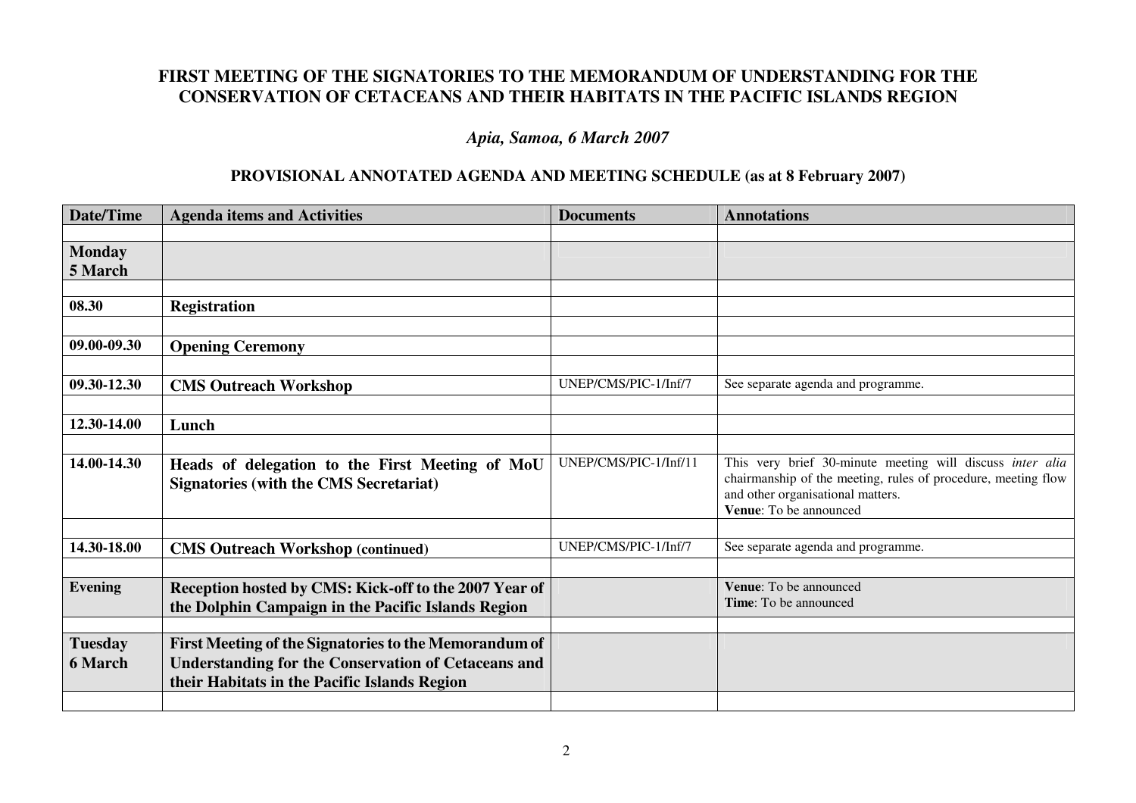# **FIRST MEETING OF THE SIGNATORIES TO THE MEMORANDUM OF UNDERSTANDING FOR THE CONSERVATION OF CETACEANS AND THEIR HABITATS IN THE PACIFIC ISLANDS REGION**

### *Apia, Samoa, 6 March 2007*

#### **PROVISIONAL ANNOTATED AGENDA AND MEETING SCHEDULE (as at 8 February 2007)**

| Date/Time                        | <b>Agenda items and Activities</b>                                                                                                                                  | <b>Documents</b>      | <b>Annotations</b>                                                                                                                                                                        |
|----------------------------------|---------------------------------------------------------------------------------------------------------------------------------------------------------------------|-----------------------|-------------------------------------------------------------------------------------------------------------------------------------------------------------------------------------------|
|                                  |                                                                                                                                                                     |                       |                                                                                                                                                                                           |
| <b>Monday</b><br>5 March         |                                                                                                                                                                     |                       |                                                                                                                                                                                           |
|                                  |                                                                                                                                                                     |                       |                                                                                                                                                                                           |
| 08.30                            | <b>Registration</b>                                                                                                                                                 |                       |                                                                                                                                                                                           |
|                                  |                                                                                                                                                                     |                       |                                                                                                                                                                                           |
| 09.00-09.30                      | <b>Opening Ceremony</b>                                                                                                                                             |                       |                                                                                                                                                                                           |
|                                  |                                                                                                                                                                     |                       |                                                                                                                                                                                           |
| 09.30-12.30                      | <b>CMS Outreach Workshop</b>                                                                                                                                        | UNEP/CMS/PIC-1/Inf/7  | See separate agenda and programme.                                                                                                                                                        |
|                                  |                                                                                                                                                                     |                       |                                                                                                                                                                                           |
| 12.30-14.00                      | Lunch                                                                                                                                                               |                       |                                                                                                                                                                                           |
|                                  |                                                                                                                                                                     |                       |                                                                                                                                                                                           |
| 14.00-14.30                      | Heads of delegation to the First Meeting of MoU<br><b>Signatories (with the CMS Secretariat)</b>                                                                    | UNEP/CMS/PIC-1/Inf/11 | This very brief 30-minute meeting will discuss inter alia<br>chairmanship of the meeting, rules of procedure, meeting flow<br>and other organisational matters.<br>Venue: To be announced |
|                                  |                                                                                                                                                                     |                       |                                                                                                                                                                                           |
| 14.30-18.00                      | <b>CMS Outreach Workshop (continued)</b>                                                                                                                            | UNEP/CMS/PIC-1/Inf/7  | See separate agenda and programme.                                                                                                                                                        |
|                                  |                                                                                                                                                                     |                       |                                                                                                                                                                                           |
| <b>Evening</b>                   | Reception hosted by CMS: Kick-off to the 2007 Year of<br>the Dolphin Campaign in the Pacific Islands Region                                                         |                       | <b>Venue:</b> To be announced<br>Time: To be announced                                                                                                                                    |
|                                  |                                                                                                                                                                     |                       |                                                                                                                                                                                           |
| <b>Tuesday</b><br><b>6 March</b> | First Meeting of the Signatories to the Memorandum of<br><b>Understanding for the Conservation of Cetaceans and</b><br>their Habitats in the Pacific Islands Region |                       |                                                                                                                                                                                           |
|                                  |                                                                                                                                                                     |                       |                                                                                                                                                                                           |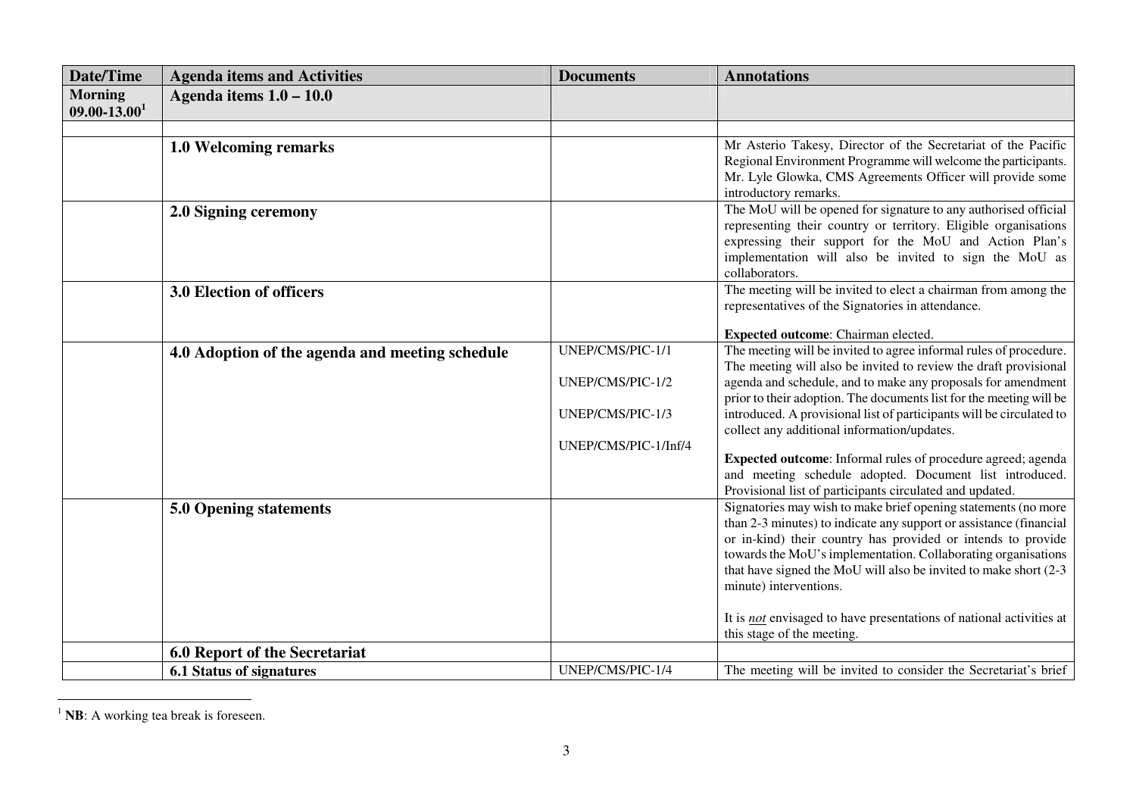| <b>Date/Time</b>             | <b>Agenda items and Activities</b>              | <b>Documents</b>     | <b>Annotations</b>                                                                                                            |
|------------------------------|-------------------------------------------------|----------------------|-------------------------------------------------------------------------------------------------------------------------------|
| <b>Morning</b>               | Agenda items $1.0 - 10.0$                       |                      |                                                                                                                               |
| $09.00 - 13.00$ <sup>1</sup> |                                                 |                      |                                                                                                                               |
|                              |                                                 |                      |                                                                                                                               |
|                              | 1.0 Welcoming remarks                           |                      | Mr Asterio Takesy, Director of the Secretariat of the Pacific                                                                 |
|                              |                                                 |                      | Regional Environment Programme will welcome the participants.                                                                 |
|                              |                                                 |                      | Mr. Lyle Glowka, CMS Agreements Officer will provide some<br>introductory remarks.                                            |
|                              | 2.0 Signing ceremony                            |                      | The MoU will be opened for signature to any authorised official                                                               |
|                              |                                                 |                      | representing their country or territory. Eligible organisations                                                               |
|                              |                                                 |                      | expressing their support for the MoU and Action Plan's                                                                        |
|                              |                                                 |                      | implementation will also be invited to sign the MoU as                                                                        |
|                              |                                                 |                      | collaborators.                                                                                                                |
|                              | 3.0 Election of officers                        |                      | The meeting will be invited to elect a chairman from among the                                                                |
|                              |                                                 |                      | representatives of the Signatories in attendance.                                                                             |
|                              |                                                 |                      | Expected outcome: Chairman elected.                                                                                           |
|                              | 4.0 Adoption of the agenda and meeting schedule | UNEP/CMS/PIC-1/1     | The meeting will be invited to agree informal rules of procedure.                                                             |
|                              |                                                 |                      | The meeting will also be invited to review the draft provisional                                                              |
|                              |                                                 | UNEP/CMS/PIC-1/2     | agenda and schedule, and to make any proposals for amendment                                                                  |
|                              |                                                 |                      | prior to their adoption. The documents list for the meeting will be                                                           |
|                              |                                                 | UNEP/CMS/PIC-1/3     | introduced. A provisional list of participants will be circulated to                                                          |
|                              |                                                 | UNEP/CMS/PIC-1/Inf/4 | collect any additional information/updates.                                                                                   |
|                              |                                                 |                      | Expected outcome: Informal rules of procedure agreed; agenda                                                                  |
|                              |                                                 |                      | and meeting schedule adopted. Document list introduced.                                                                       |
|                              |                                                 |                      | Provisional list of participants circulated and updated.                                                                      |
|                              | 5.0 Opening statements                          |                      | Signatories may wish to make brief opening statements (no more                                                                |
|                              |                                                 |                      | than 2-3 minutes) to indicate any support or assistance (financial                                                            |
|                              |                                                 |                      | or in-kind) their country has provided or intends to provide<br>towards the MoU's implementation. Collaborating organisations |
|                              |                                                 |                      | that have signed the MoU will also be invited to make short (2-3                                                              |
|                              |                                                 |                      | minute) interventions.                                                                                                        |
|                              |                                                 |                      |                                                                                                                               |
|                              |                                                 |                      | It is <i>not</i> envisaged to have presentations of national activities at                                                    |
|                              |                                                 |                      | this stage of the meeting.                                                                                                    |
|                              | 6.0 Report of the Secretariat                   |                      |                                                                                                                               |
|                              | <b>6.1 Status of signatures</b>                 | UNEP/CMS/PIC-1/4     | The meeting will be invited to consider the Secretariat's brief                                                               |

 $<sup>1</sup>$  **NB**: A working tea break is foreseen.</sup>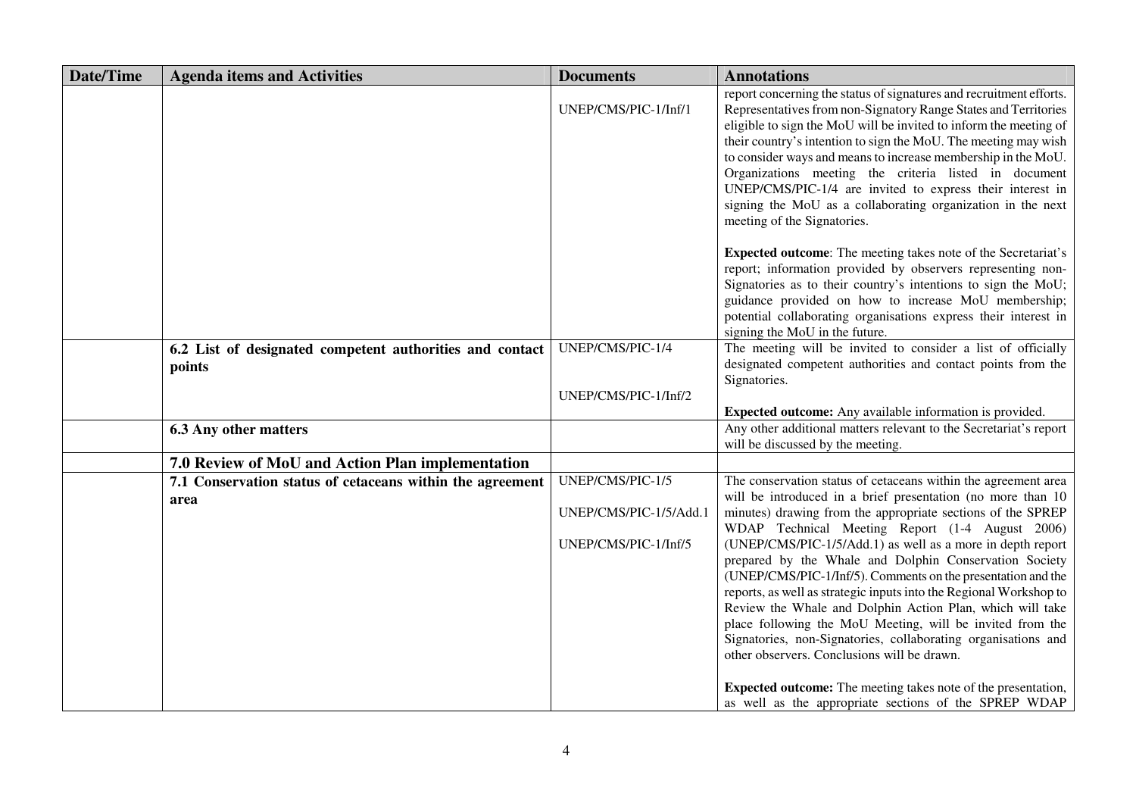| <b>Date/Time</b> | <b>Agenda items and Activities</b>                                 | <b>Documents</b>                                                   | <b>Annotations</b>                                                                                                                                                                                                                                                                                                                                                                                                                                                                                                                                                                                                                                                                                                                                                                                                              |
|------------------|--------------------------------------------------------------------|--------------------------------------------------------------------|---------------------------------------------------------------------------------------------------------------------------------------------------------------------------------------------------------------------------------------------------------------------------------------------------------------------------------------------------------------------------------------------------------------------------------------------------------------------------------------------------------------------------------------------------------------------------------------------------------------------------------------------------------------------------------------------------------------------------------------------------------------------------------------------------------------------------------|
|                  |                                                                    | UNEP/CMS/PIC-1/Inf/1                                               | report concerning the status of signatures and recruitment efforts.<br>Representatives from non-Signatory Range States and Territories<br>eligible to sign the MoU will be invited to inform the meeting of<br>their country's intention to sign the MoU. The meeting may wish<br>to consider ways and means to increase membership in the MoU.<br>Organizations meeting the criteria listed in document<br>UNEP/CMS/PIC-1/4 are invited to express their interest in<br>signing the MoU as a collaborating organization in the next<br>meeting of the Signatories.                                                                                                                                                                                                                                                             |
|                  |                                                                    |                                                                    | <b>Expected outcome:</b> The meeting takes note of the Secretariat's<br>report; information provided by observers representing non-<br>Signatories as to their country's intentions to sign the MoU;<br>guidance provided on how to increase MoU membership;<br>potential collaborating organisations express their interest in<br>signing the MoU in the future.                                                                                                                                                                                                                                                                                                                                                                                                                                                               |
|                  | 6.2 List of designated competent authorities and contact<br>points | UNEP/CMS/PIC-1/4<br>UNEP/CMS/PIC-1/Inf/2                           | The meeting will be invited to consider a list of officially<br>designated competent authorities and contact points from the<br>Signatories.                                                                                                                                                                                                                                                                                                                                                                                                                                                                                                                                                                                                                                                                                    |
|                  |                                                                    |                                                                    | Expected outcome: Any available information is provided.                                                                                                                                                                                                                                                                                                                                                                                                                                                                                                                                                                                                                                                                                                                                                                        |
|                  | <b>6.3 Any other matters</b>                                       |                                                                    | Any other additional matters relevant to the Secretariat's report<br>will be discussed by the meeting.                                                                                                                                                                                                                                                                                                                                                                                                                                                                                                                                                                                                                                                                                                                          |
|                  | 7.0 Review of MoU and Action Plan implementation                   |                                                                    |                                                                                                                                                                                                                                                                                                                                                                                                                                                                                                                                                                                                                                                                                                                                                                                                                                 |
|                  | 7.1 Conservation status of cetaceans within the agreement<br>area  | UNEP/CMS/PIC-1/5<br>UNEP/CMS/PIC-1/5/Add.1<br>UNEP/CMS/PIC-1/Inf/5 | The conservation status of cetaceans within the agreement area<br>will be introduced in a brief presentation (no more than 10<br>minutes) drawing from the appropriate sections of the SPREP<br>WDAP Technical Meeting Report (1-4 August 2006)<br>(UNEP/CMS/PIC-1/5/Add.1) as well as a more in depth report<br>prepared by the Whale and Dolphin Conservation Society<br>(UNEP/CMS/PIC-1/Inf/5). Comments on the presentation and the<br>reports, as well as strategic inputs into the Regional Workshop to<br>Review the Whale and Dolphin Action Plan, which will take<br>place following the MoU Meeting, will be invited from the<br>Signatories, non-Signatories, collaborating organisations and<br>other observers. Conclusions will be drawn.<br><b>Expected outcome:</b> The meeting takes note of the presentation, |
|                  |                                                                    |                                                                    | as well as the appropriate sections of the SPREP WDAP                                                                                                                                                                                                                                                                                                                                                                                                                                                                                                                                                                                                                                                                                                                                                                           |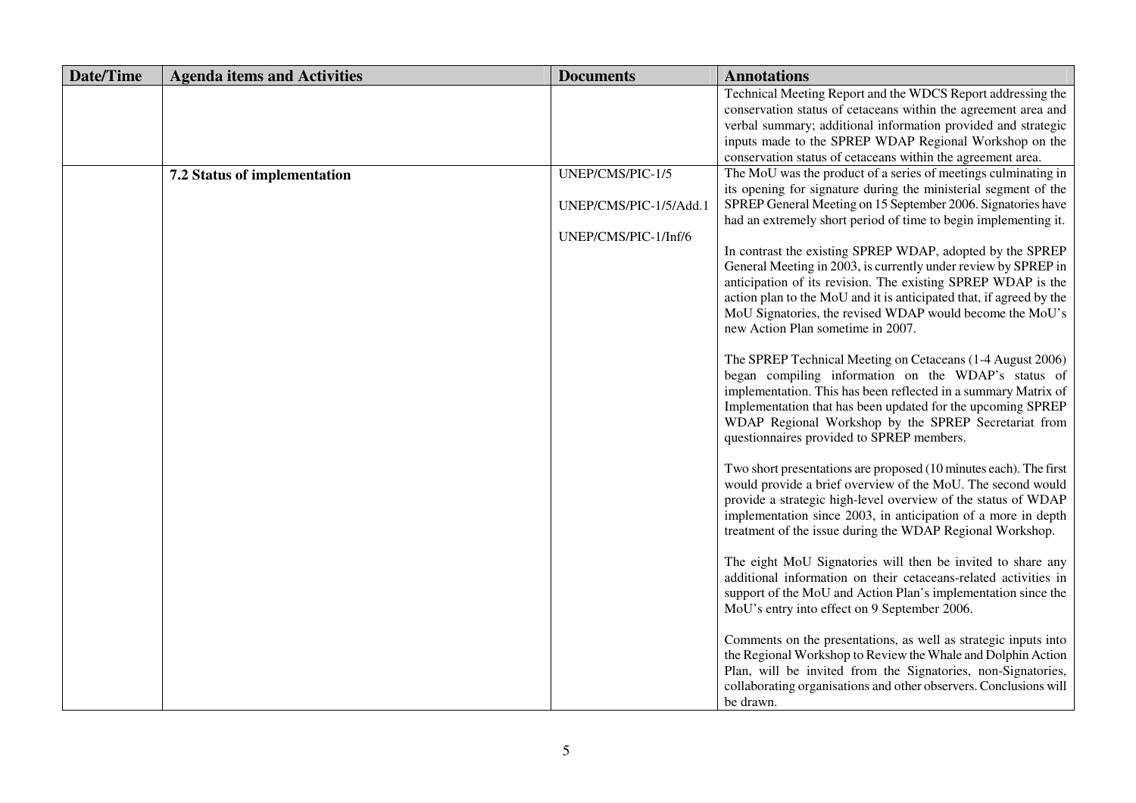| <b>Date/Time</b> | <b>Agenda items and Activities</b> | <b>Documents</b>       | <b>Annotations</b>                                                                                                               |
|------------------|------------------------------------|------------------------|----------------------------------------------------------------------------------------------------------------------------------|
|                  |                                    |                        | Technical Meeting Report and the WDCS Report addressing the<br>conservation status of cetaceans within the agreement area and    |
|                  |                                    |                        | verbal summary; additional information provided and strategic                                                                    |
|                  |                                    |                        | inputs made to the SPREP WDAP Regional Workshop on the                                                                           |
|                  |                                    |                        | conservation status of cetaceans within the agreement area.                                                                      |
|                  | 7.2 Status of implementation       | UNEP/CMS/PIC-1/5       | The MoU was the product of a series of meetings culminating in                                                                   |
|                  |                                    |                        | its opening for signature during the ministerial segment of the                                                                  |
|                  |                                    | UNEP/CMS/PIC-1/5/Add.1 | SPREP General Meeting on 15 September 2006. Signatories have                                                                     |
|                  |                                    |                        | had an extremely short period of time to begin implementing it.                                                                  |
|                  |                                    | UNEP/CMS/PIC-1/Inf/6   |                                                                                                                                  |
|                  |                                    |                        | In contrast the existing SPREP WDAP, adopted by the SPREP                                                                        |
|                  |                                    |                        | General Meeting in 2003, is currently under review by SPREP in                                                                   |
|                  |                                    |                        | anticipation of its revision. The existing SPREP WDAP is the                                                                     |
|                  |                                    |                        | action plan to the MoU and it is anticipated that, if agreed by the                                                              |
|                  |                                    |                        | MoU Signatories, the revised WDAP would become the MoU's                                                                         |
|                  |                                    |                        | new Action Plan sometime in 2007.                                                                                                |
|                  |                                    |                        | The SPREP Technical Meeting on Cetaceans (1-4 August 2006)                                                                       |
|                  |                                    |                        | began compiling information on the WDAP's status of                                                                              |
|                  |                                    |                        | implementation. This has been reflected in a summary Matrix of                                                                   |
|                  |                                    |                        | Implementation that has been updated for the upcoming SPREP                                                                      |
|                  |                                    |                        | WDAP Regional Workshop by the SPREP Secretariat from                                                                             |
|                  |                                    |                        | questionnaires provided to SPREP members.                                                                                        |
|                  |                                    |                        |                                                                                                                                  |
|                  |                                    |                        | Two short presentations are proposed (10 minutes each). The first<br>would provide a brief overview of the MoU. The second would |
|                  |                                    |                        | provide a strategic high-level overview of the status of WDAP                                                                    |
|                  |                                    |                        | implementation since 2003, in anticipation of a more in depth                                                                    |
|                  |                                    |                        | treatment of the issue during the WDAP Regional Workshop.                                                                        |
|                  |                                    |                        |                                                                                                                                  |
|                  |                                    |                        | The eight MoU Signatories will then be invited to share any                                                                      |
|                  |                                    |                        | additional information on their cetaceans-related activities in                                                                  |
|                  |                                    |                        | support of the MoU and Action Plan's implementation since the                                                                    |
|                  |                                    |                        | MoU's entry into effect on 9 September 2006.                                                                                     |
|                  |                                    |                        | Comments on the presentations, as well as strategic inputs into                                                                  |
|                  |                                    |                        | the Regional Workshop to Review the Whale and Dolphin Action                                                                     |
|                  |                                    |                        | Plan, will be invited from the Signatories, non-Signatories,                                                                     |
|                  |                                    |                        | collaborating organisations and other observers. Conclusions will                                                                |
|                  |                                    |                        | be drawn.                                                                                                                        |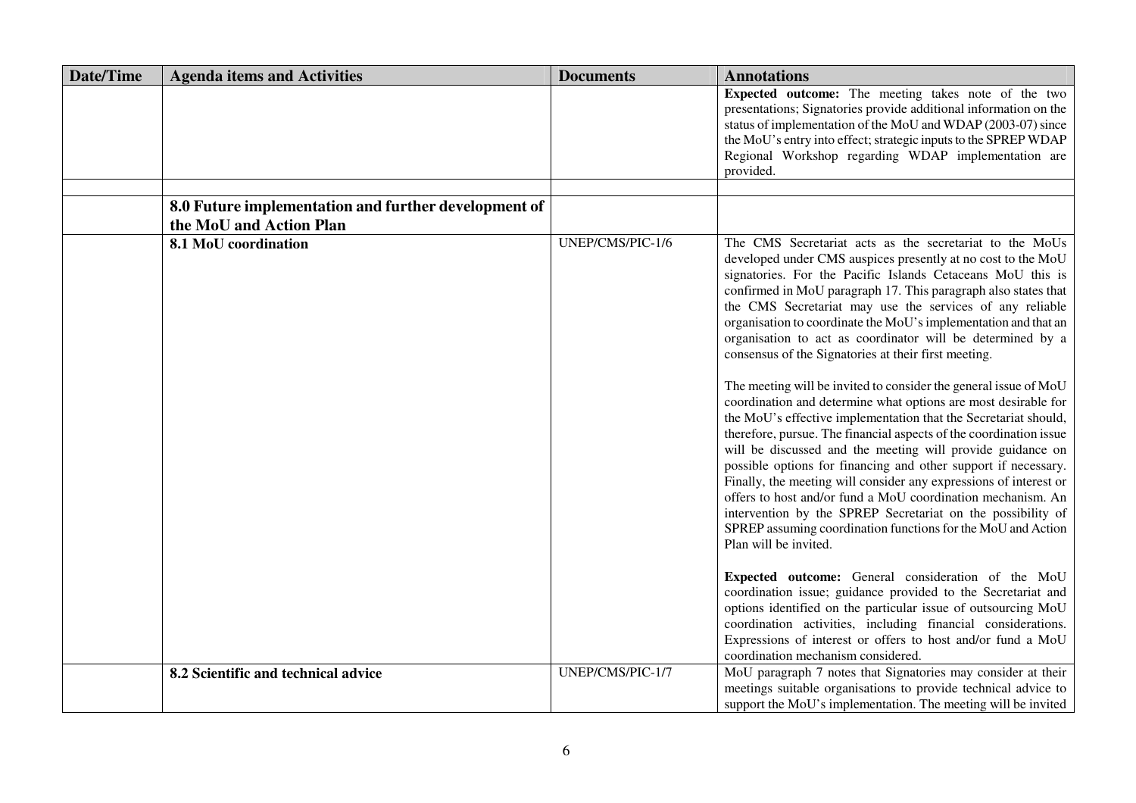| <b>Date/Time</b> | <b>Agenda items and Activities</b>                   | <b>Documents</b> | <b>Annotations</b>                                                                                                      |
|------------------|------------------------------------------------------|------------------|-------------------------------------------------------------------------------------------------------------------------|
|                  |                                                      |                  | Expected outcome: The meeting takes note of the two<br>presentations; Signatories provide additional information on the |
|                  |                                                      |                  | status of implementation of the MoU and WDAP (2003-07) since                                                            |
|                  |                                                      |                  | the MoU's entry into effect; strategic inputs to the SPREP WDAP                                                         |
|                  |                                                      |                  | Regional Workshop regarding WDAP implementation are                                                                     |
|                  |                                                      |                  | provided.                                                                                                               |
|                  |                                                      |                  |                                                                                                                         |
|                  | 8.0 Future implementation and further development of |                  |                                                                                                                         |
|                  | the MoU and Action Plan                              |                  |                                                                                                                         |
|                  | 8.1 MoU coordination                                 | UNEP/CMS/PIC-1/6 | The CMS Secretariat acts as the secretariat to the MoUs                                                                 |
|                  |                                                      |                  | developed under CMS auspices presently at no cost to the MoU                                                            |
|                  |                                                      |                  | signatories. For the Pacific Islands Cetaceans MoU this is                                                              |
|                  |                                                      |                  | confirmed in MoU paragraph 17. This paragraph also states that                                                          |
|                  |                                                      |                  | the CMS Secretariat may use the services of any reliable                                                                |
|                  |                                                      |                  | organisation to coordinate the MoU's implementation and that an                                                         |
|                  |                                                      |                  | organisation to act as coordinator will be determined by a                                                              |
|                  |                                                      |                  | consensus of the Signatories at their first meeting.                                                                    |
|                  |                                                      |                  | The meeting will be invited to consider the general issue of MoU                                                        |
|                  |                                                      |                  | coordination and determine what options are most desirable for                                                          |
|                  |                                                      |                  | the MoU's effective implementation that the Secretariat should,                                                         |
|                  |                                                      |                  | therefore, pursue. The financial aspects of the coordination issue                                                      |
|                  |                                                      |                  | will be discussed and the meeting will provide guidance on                                                              |
|                  |                                                      |                  | possible options for financing and other support if necessary.                                                          |
|                  |                                                      |                  | Finally, the meeting will consider any expressions of interest or                                                       |
|                  |                                                      |                  | offers to host and/or fund a MoU coordination mechanism. An                                                             |
|                  |                                                      |                  | intervention by the SPREP Secretariat on the possibility of                                                             |
|                  |                                                      |                  | SPREP assuming coordination functions for the MoU and Action                                                            |
|                  |                                                      |                  | Plan will be invited.                                                                                                   |
|                  |                                                      |                  | Expected outcome: General consideration of the MoU                                                                      |
|                  |                                                      |                  | coordination issue; guidance provided to the Secretariat and                                                            |
|                  |                                                      |                  | options identified on the particular issue of outsourcing MoU                                                           |
|                  |                                                      |                  | coordination activities, including financial considerations.                                                            |
|                  |                                                      |                  | Expressions of interest or offers to host and/or fund a MoU                                                             |
|                  |                                                      |                  | coordination mechanism considered.                                                                                      |
|                  | 8.2 Scientific and technical advice                  | UNEP/CMS/PIC-1/7 | MoU paragraph 7 notes that Signatories may consider at their                                                            |
|                  |                                                      |                  | meetings suitable organisations to provide technical advice to                                                          |
|                  |                                                      |                  | support the MoU's implementation. The meeting will be invited                                                           |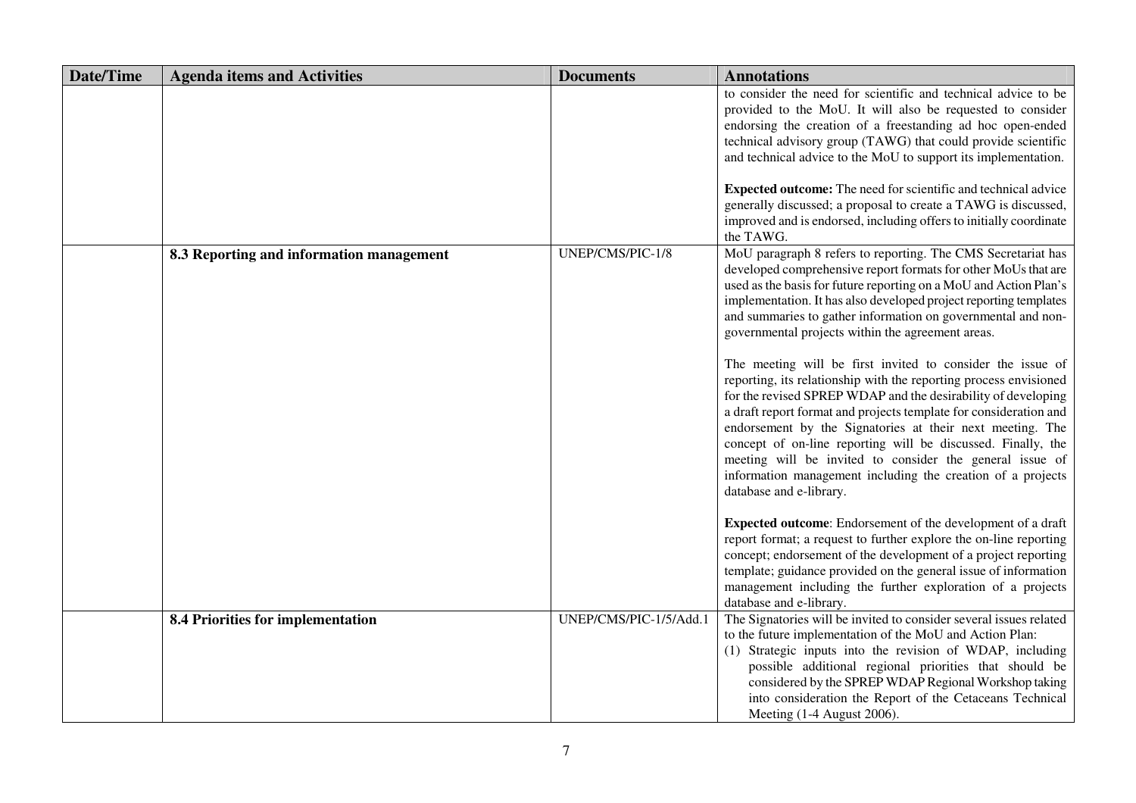| <b>Date/Time</b> | <b>Agenda items and Activities</b>       | <b>Documents</b>       | <b>Annotations</b>                                                                                                                                                                                                                                                                                                                                                                                                                                                                                                                                                                                                                                                                                                                                                                                                                                                                                                                                                                                                       |
|------------------|------------------------------------------|------------------------|--------------------------------------------------------------------------------------------------------------------------------------------------------------------------------------------------------------------------------------------------------------------------------------------------------------------------------------------------------------------------------------------------------------------------------------------------------------------------------------------------------------------------------------------------------------------------------------------------------------------------------------------------------------------------------------------------------------------------------------------------------------------------------------------------------------------------------------------------------------------------------------------------------------------------------------------------------------------------------------------------------------------------|
|                  |                                          |                        | to consider the need for scientific and technical advice to be<br>provided to the MoU. It will also be requested to consider<br>endorsing the creation of a freestanding ad hoc open-ended<br>technical advisory group (TAWG) that could provide scientific<br>and technical advice to the MoU to support its implementation.<br><b>Expected outcome:</b> The need for scientific and technical advice                                                                                                                                                                                                                                                                                                                                                                                                                                                                                                                                                                                                                   |
|                  |                                          |                        | generally discussed; a proposal to create a TAWG is discussed,<br>improved and is endorsed, including offers to initially coordinate<br>the TAWG.                                                                                                                                                                                                                                                                                                                                                                                                                                                                                                                                                                                                                                                                                                                                                                                                                                                                        |
|                  | 8.3 Reporting and information management | UNEP/CMS/PIC-1/8       | MoU paragraph 8 refers to reporting. The CMS Secretariat has<br>developed comprehensive report formats for other MoUs that are<br>used as the basis for future reporting on a MoU and Action Plan's<br>implementation. It has also developed project reporting templates<br>and summaries to gather information on governmental and non-<br>governmental projects within the agreement areas.<br>The meeting will be first invited to consider the issue of<br>reporting, its relationship with the reporting process envisioned<br>for the revised SPREP WDAP and the desirability of developing<br>a draft report format and projects template for consideration and<br>endorsement by the Signatories at their next meeting. The<br>concept of on-line reporting will be discussed. Finally, the<br>meeting will be invited to consider the general issue of<br>information management including the creation of a projects<br>database and e-library.<br>Expected outcome: Endorsement of the development of a draft |
|                  |                                          |                        | report format; a request to further explore the on-line reporting<br>concept; endorsement of the development of a project reporting<br>template; guidance provided on the general issue of information<br>management including the further exploration of a projects<br>database and e-library.                                                                                                                                                                                                                                                                                                                                                                                                                                                                                                                                                                                                                                                                                                                          |
|                  | 8.4 Priorities for implementation        | UNEP/CMS/PIC-1/5/Add.1 | The Signatories will be invited to consider several issues related<br>to the future implementation of the MoU and Action Plan:<br>(1) Strategic inputs into the revision of WDAP, including<br>possible additional regional priorities that should be<br>considered by the SPREP WDAP Regional Workshop taking<br>into consideration the Report of the Cetaceans Technical<br>Meeting (1-4 August 2006).                                                                                                                                                                                                                                                                                                                                                                                                                                                                                                                                                                                                                 |